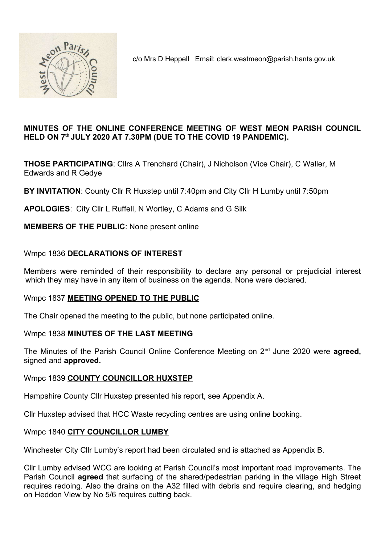

c/o Mrs D Heppell Email: clerk.westmeon@parish.hants.gov.uk

## MINUTES OF THE ONLINE CONFERENCE MEETING OF WEST MEON PARISH COUNCIL HELD ON 7<sup>th</sup> JULY 2020 AT 7.30PM (DUE TO THE COVID 19 PANDEMIC).

THOSE PARTICIPATING: Cllrs A Trenchard (Chair), J Nicholson (Vice Chair), C Waller, M Edwards and R Gedye

BY INVITATION: County Cllr R Huxstep until 7:40pm and City Cllr H Lumby until 7:50pm

APOLOGIES: City Cllr L Ruffell, N Wortley, C Adams and G Silk

## MEMBERS OF THE PUBLIC: None present online

# Wmpc 1836 DECLARATIONS OF INTEREST

Members were reminded of their responsibility to declare any personal or prejudicial interest which they may have in any item of business on the agenda. None were declared.

# Wmpc 1837 MEETING OPENED TO THE PUBLIC

The Chair opened the meeting to the public, but none participated online.

# Wmpc 1838 MINUTES OF THE LAST MEETING

The Minutes of the Parish Council Online Conference Meeting on  $2^{nd}$  June 2020 were **agreed**, signed and approved.

# Wmpc 1839 COUNTY COUNCILLOR HUXSTEP

Hampshire County Cllr Huxstep presented his report, see Appendix A.

Cllr Huxstep advised that HCC Waste recycling centres are using online booking.

#### Wmpc 1840 CITY COUNCILLOR LUMBY

Winchester City Cllr Lumby's report had been circulated and is attached as Appendix B.

Cllr Lumby advised WCC are looking at Parish Council's most important road improvements. The Parish Council agreed that surfacing of the shared/pedestrian parking in the village High Street requires redoing. Also the drains on the A32 filled with debris and require clearing, and hedging on Heddon View by No 5/6 requires cutting back.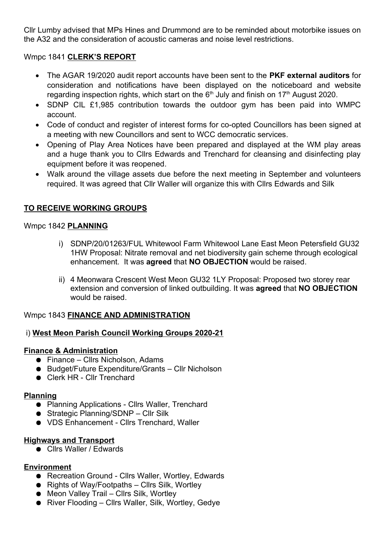Cllr Lumby advised that MPs Hines and Drummond are to be reminded about motorbike issues on the A32 and the consideration of acoustic cameras and noise level restrictions.

## Wmpc 1841 CLERK'S REPORT

- The AGAR 19/2020 audit report accounts have been sent to the PKF external auditors for consideration and notifications have been displayed on the noticeboard and website regarding inspection rights, which start on the  $6<sup>th</sup>$  July and finish on 17<sup>th</sup> August 2020.
- SDNP CIL £1,985 contribution towards the outdoor gym has been paid into WMPC account.
- Code of conduct and register of interest forms for co-opted Councillors has been signed at a meeting with new Councillors and sent to WCC democratic services.
- Opening of Play Area Notices have been prepared and displayed at the WM play areas and a huge thank you to Cllrs Edwards and Trenchard for cleansing and disinfecting play equipment before it was reopened.
- Walk around the village assets due before the next meeting in September and volunteers required. It was agreed that Cllr Waller will organize this with Cllrs Edwards and Silk

# TO RECEIVE WORKING GROUPS

## Wmpc 1842 PLANNING

- i) SDNP/20/01263/FUL Whitewool Farm Whitewool Lane East Meon Petersfield GU32 1HW Proposal: Nitrate removal and net biodiversity gain scheme through ecological enhancement. It was agreed that NO OBJECTION would be raised.
- ii) 4 Meonwara Crescent West Meon GU32 1LY Proposal: Proposed two storey rear extension and conversion of linked outbuilding. It was agreed that NO OBJECTION would be raised.

# Wmpc 1843 FINANCE AND ADMINISTRATION

# i) West Meon Parish Council Working Groups 2020-21

#### Finance & Administration

- Finance Cllrs Nicholson, Adams
- Budget/Future Expenditure/Grants Cllr Nicholson
- Clerk HR Cllr Trenchard

#### Planning

- Planning Applications Cllrs Waller, Trenchard
- Strategic Planning/SDNP Cllr Silk
- VDS Enhancement Cllrs Trenchard, Waller

#### Highways and Transport

● Cllrs Waller / Edwards

## Environment

- Recreation Ground Cllrs Waller, Wortley, Edwards
- Rights of Way/Footpaths Cllrs Silk, Wortley
- Meon Valley Trail Cllrs Silk, Wortley
- River Flooding Cllrs Waller, Silk, Wortley, Gedye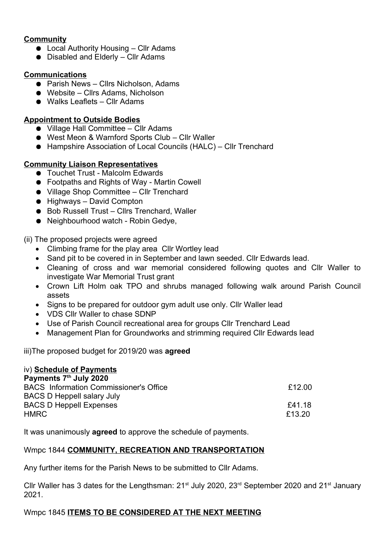# **Community**

- Local Authority Housing Cllr Adams
- $\bullet$  Disabled and Elderly Cllr Adams

## **Communications**

- Parish News Cllrs Nicholson, Adams
- Website Cllrs Adams, Nicholson
- Walks Leaflets Cllr Adams

## Appointment to Outside Bodies

- Village Hall Committee Cllr Adams
- West Meon & Warnford Sports Club Cllr Waller
- Hampshire Association of Local Councils (HALC) Cllr Trenchard

## Community Liaison Representatives

- Touchet Trust Malcolm Edwards
- Footpaths and Rights of Way Martin Cowell
- Village Shop Committee Cllr Trenchard
- Highways David Compton
- Bob Russell Trust Cllrs Trenchard, Waller
- Neighbourhood watch Robin Gedye,

(ii) The proposed projects were agreed

- Climbing frame for the play area Cllr Wortley lead
- Sand pit to be covered in in September and lawn seeded. Cllr Edwards lead.
- Cleaning of cross and war memorial considered following quotes and Cllr Waller to investigate War Memorial Trust grant
- Crown Lift Holm oak TPO and shrubs managed following walk around Parish Council assets
- Signs to be prepared for outdoor gym adult use only. Cllr Waller lead
- VDS Cllr Waller to chase SDNP
- Use of Parish Council recreational area for groups Cllr Trenchard Lead
- Management Plan for Groundworks and strimming required Cllr Edwards lead

iii)The proposed budget for 2019/20 was **agreed** 

| iv) Schedule of Payments                      |        |
|-----------------------------------------------|--------|
| Payments 7th July 2020                        |        |
| <b>BACS</b> Information Commissioner's Office | £12.00 |
| <b>BACS D Heppell salary July</b>             |        |
| <b>BACS D Heppell Expenses</b>                | £41.18 |
| <b>HMRC</b>                                   | £13.20 |

It was unanimously **agreed** to approve the schedule of payments.

# Wmpc 1844 COMMUNITY, RECREATION AND TRANSPORTATION

Any further items for the Parish News to be submitted to Cllr Adams.

Cllr Waller has 3 dates for the Lengthsman:  $21^{st}$  July 2020,  $23^{rd}$  September 2020 and  $21^{st}$  January 2021.

# Wmpc 1845 ITEMS TO BE CONSIDERED AT THE NEXT MEETING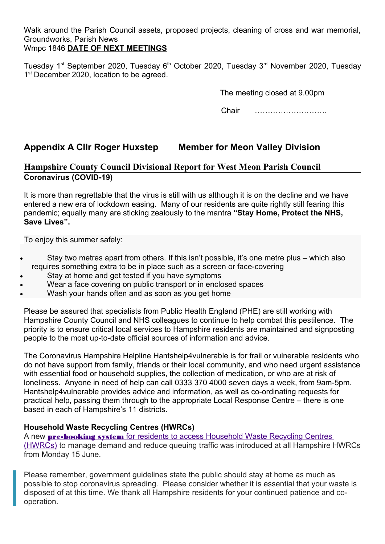Walk around the Parish Council assets, proposed projects, cleaning of cross and war memorial, Groundworks, Parish News

# Wmpc 1846 DATE OF NEXT MEETINGS

Tuesday 1<sup>st</sup> September 2020, Tuesday 6<sup>th</sup> October 2020, Tuesday 3<sup>rd</sup> November 2020, Tuesday 1<sup>st</sup> December 2020, location to be agreed.

The meeting closed at 9.00pm

Chair ……………………….

# Appendix A Cllr Roger Huxstep Member for Meon Valley Division

# Hampshire County Council Divisional Report for West Meon Parish Council Coronavirus (COVID-19)

It is more than regrettable that the virus is still with us although it is on the decline and we have entered a new era of lockdown easing. Many of our residents are quite rightly still fearing this pandemic; equally many are sticking zealously to the mantra "Stay Home, Protect the NHS, Save Lives".

To enjoy this summer safely:

- Stay two metres apart from others. If this isn't possible, it's one metre plus which also requires something extra to be in place such as a screen or face-covering
- Stay at home and get tested if you have symptoms
- Wear a face covering on public transport or in enclosed spaces
- Wash your hands often and as soon as you get home

Please be assured that specialists from Public Health England (PHE) are still working with Hampshire County Council and NHS colleagues to continue to help combat this pestilence. The priority is to ensure critical local services to Hampshire residents are maintained and signposting people to the most up-to-date official sources of information and advice.

The Coronavirus Hampshire Helpline Hantshelp4vulnerable is for frail or vulnerable residents who do not have support from family, friends or their local community, and who need urgent assistance with essential food or household supplies, the collection of medication, or who are at risk of loneliness. Anyone in need of help can call 0333 370 4000 seven days a week, from 9am-5pm. Hantshelp4vulnerable provides advice and information, as well as co-ordinating requests for practical help, passing them through to the appropriate Local Response Centre – there is one based in each of Hampshire's 11 districts.

# Household Waste Recycling Centres (HWRCs)

A new **pre-booking system** for residents to access Household Waste Recycling Centres (HWRCs) to manage demand and reduce queuing traffic was introduced at all Hampshire HWRCs from Monday 15 June.

Please remember, government guidelines state the public should stay at home as much as possible to stop coronavirus spreading. Please consider whether it is essential that your waste is disposed of at this time. We thank all Hampshire residents for your continued patience and cooperation.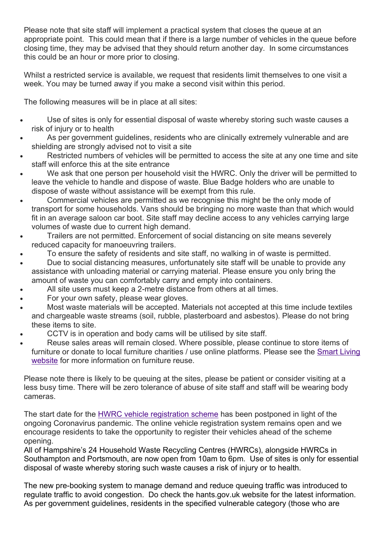Please note that site staff will implement a practical system that closes the queue at an appropriate point. This could mean that if there is a large number of vehicles in the queue before closing time, they may be advised that they should return another day. In some circumstances this could be an hour or more prior to closing.

Whilst a restricted service is available, we request that residents limit themselves to one visit a week. You may be turned away if you make a second visit within this period.

The following measures will be in place at all sites:

- Use of sites is only for essential disposal of waste whereby storing such waste causes a risk of injury or to health
- As per government guidelines, residents who are clinically extremely vulnerable and are shielding are strongly advised not to visit a site
- Restricted numbers of vehicles will be permitted to access the site at any one time and site staff will enforce this at the site entrance
- We ask that one person per household visit the HWRC. Only the driver will be permitted to leave the vehicle to handle and dispose of waste. Blue Badge holders who are unable to dispose of waste without assistance will be exempt from this rule.
- Commercial vehicles are permitted as we recognise this might be the only mode of transport for some households. Vans should be bringing no more waste than that which would fit in an average saloon car boot. Site staff may decline access to any vehicles carrying large volumes of waste due to current high demand.
- Trailers are not permitted. Enforcement of social distancing on site means severely reduced capacity for manoeuvring trailers.
- To ensure the safety of residents and site staff, no walking in of waste is permitted.
- Due to social distancing measures, unfortunately site staff will be unable to provide any assistance with unloading material or carrying material. Please ensure you only bring the amount of waste you can comfortably carry and empty into containers.
- All site users must keep a 2-metre distance from others at all times.
- For your own safety, please wear gloves.
- Most waste materials will be accepted. Materials not accepted at this time include textiles and chargeable waste streams (soil, rubble, plasterboard and asbestos). Please do not bring these items to site.
- CCTV is in operation and body cams will be utilised by site staff.
- Reuse sales areas will remain closed. Where possible, please continue to store items of furniture or donate to local furniture charities / use online platforms. Please see the Smart Living website for more information on furniture reuse.

Please note there is likely to be queuing at the sites, please be patient or consider visiting at a less busy time. There will be zero tolerance of abuse of site staff and staff will be wearing body cameras.

The start date for the HWRC vehicle registration scheme has been postponed in light of the ongoing Coronavirus pandemic. The online vehicle registration system remains open and we encourage residents to take the opportunity to register their vehicles ahead of the scheme opening.

All of Hampshire's 24 Household Waste Recycling Centres (HWRCs), alongside HWRCs in Southampton and Portsmouth, are now open from 10am to 6pm. Use of sites is only for essential disposal of waste whereby storing such waste causes a risk of injury or to health.

The new pre-booking system to manage demand and reduce queuing traffic was introduced to regulate traffic to avoid congestion. Do check the hants.gov.uk website for the latest information. As per government guidelines, residents in the specified vulnerable category (those who are